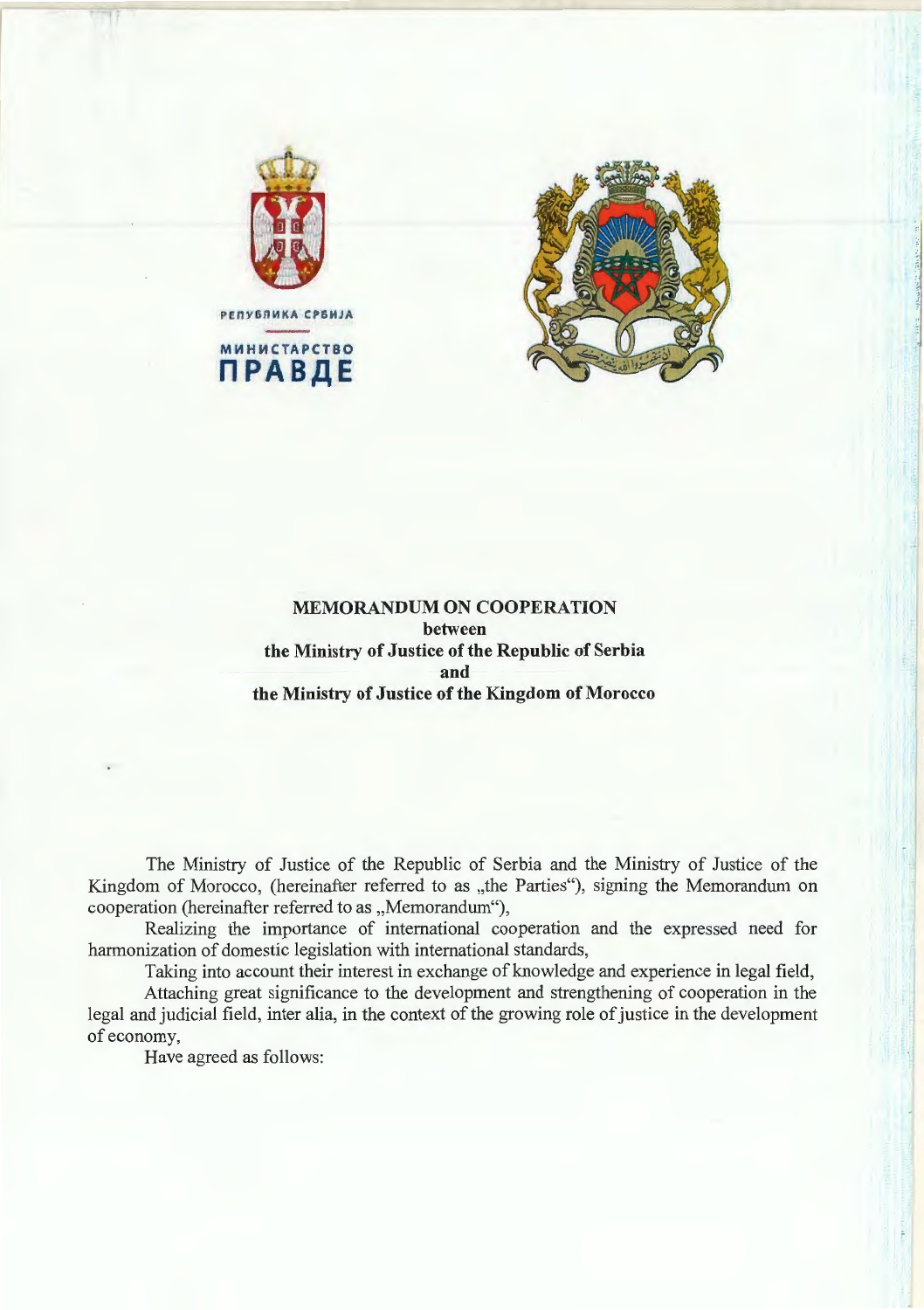



# **MEMORANDUM ON COOPERATION between the Ministry of Justice of the Republic of Serbia and the Ministry of Justice of the Kingdom of Morocco**

The Ministry of Justice of the Republic of Serbia and the Ministry of Justice of the Kingdom of Morocco, (hereinafter referred to as "the Parties"), signing the Memorandum on cooperation (hereinafter referred to as "Memorandum"),

Realizing the importance of international cooperation and the expressed need for harmonization of domestic legislation with international standards,

Taking into account their interest in exchange of knowledge and experience in legal field,

Attaching great significance to the development and strengthening of cooperation in the legal and judicial field, inter alia, in the context of the growing role of justice in the development of economy,

Have agreed as follows: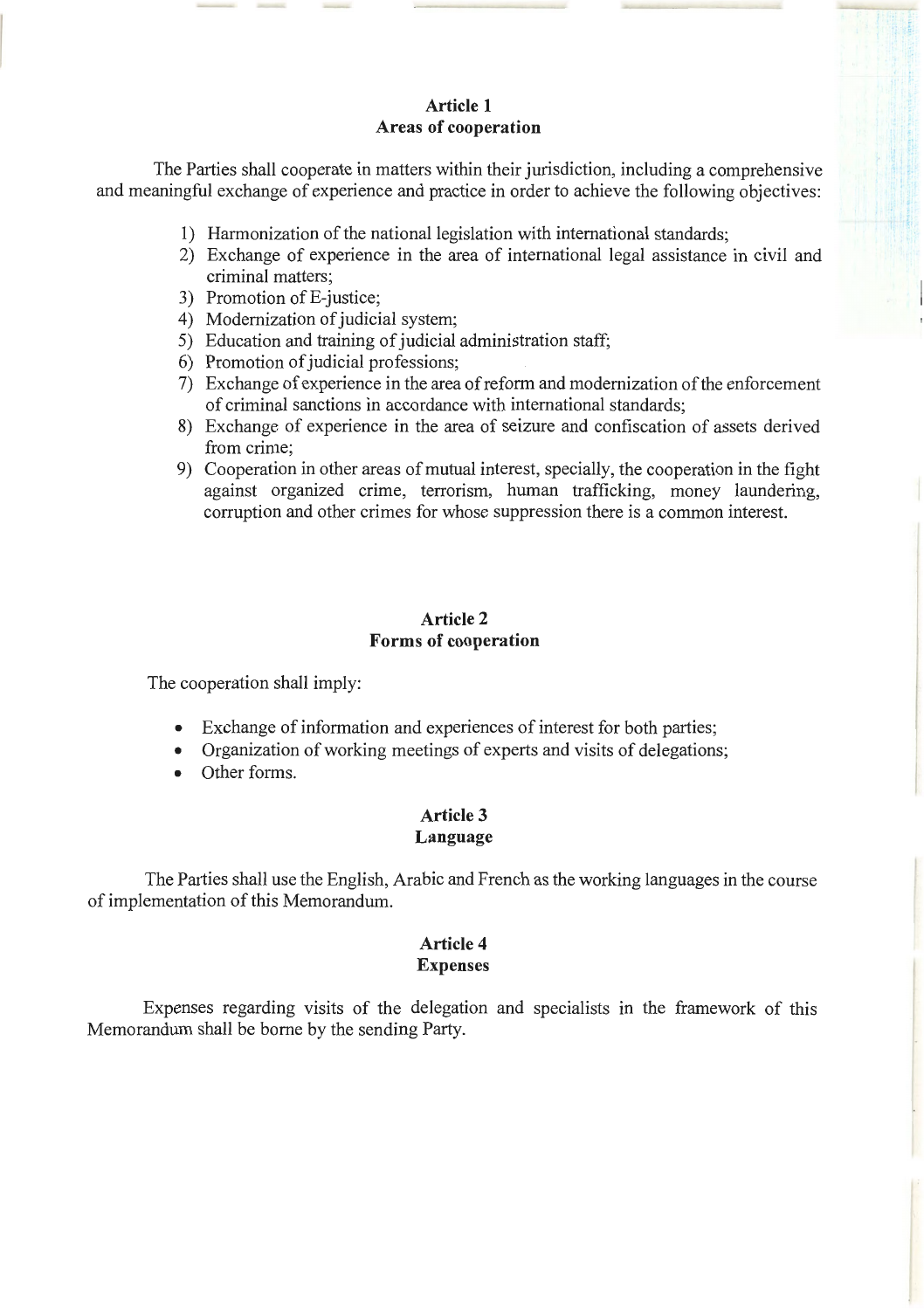# **Article 1 Areas of cooperation**

The Parties shall cooperate in matters within their jurisdiction, including a comprehensive and meaningful exchange of experience and practice in order to achieve the following objectives:

- 1) Harmonization of the national legislation with international standards;
- 2) Exchange of experience in the area of international legal assistance in civil and criminal matters;
- 3) Promotion of E-justice;
- 4) Modernization of judicial system;
- 5) Education and training of judicial administration staff;
- 6) Promotion of judicial professions;
- 7) Exchange of experience in the area of reform and modernization of the enforcement of criminal sanctions in accordance with international standards;
- 8) Exchange of experience in the area of seizure and confiscation of assets derived from crime;
- 9) Cooperation in other areas of mutual interest, specially, the cooperation in the fight against organized crime, terrorism, human trafficking, money laundering, corruption and other crimes for whose suppression there is a common interest.

# **Article 2 Forms of cooperation**

The cooperation shall imply:

- Exchange of information and experiences of interest for both parties;
- Organization of working meetings of experts and visits of delegations;
- Other forms.

# **Article 3 Language**

The Parties shall use the English, Arabic and French as the working languages in the course of implementation of this Memorandum.

# **Article 4 Expenses**

Expenses regarding visits of the delegation and specialists in the framework of this Memorandum shall be borne by the sending Party.